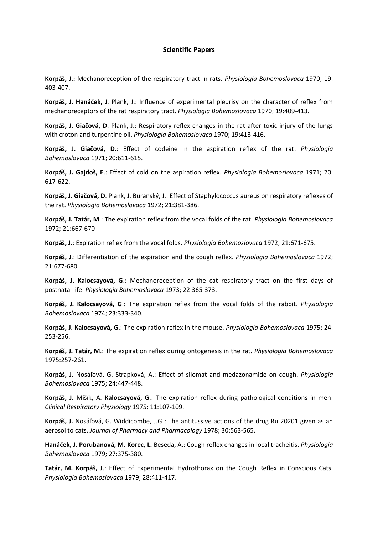## **Scientific Papers**

**Korpáš, J.:** Mechanoreception of the respiratory tract in rats. *Physiologia Bohemoslovaca* 1970; 19: 403-407.

**Korpáš, J. Hanáček, J**. Plank, J.: Influence of experimental pleurisy on the character of reflex from mechanoreceptors of the rat respiratory tract. *Physiologia Bohemoslovaca* 1970; 19:409-413.

**Korpáš, J. Giačová, D**. Plank, J.: Respiratory reflex changes in the rat after toxic injury of the lungs with croton and turpentine oil. *Physiologia Bohemoslovaca* 1970; 19:413-416.

**Korpáš, J. Giačová, D**.: Effect of codeine in the aspiration reflex of the rat. *Physiologia Bohemoslovaca* 1971; 20:611-615.

**Korpáš, J. Gajdoš, E**.: Effect of cold on the aspiration reflex. *Physiologia Bohemoslovaca* 1971; 20: 617-622.

**Korpáš, J. Giačová, D**. Plank, J. Buranský, J.: Effect of Staphylococcus aureus on respiratory reflexes of the rat. *Physiologia Bohemoslovaca* 1972; 21:381-386.

**Korpáš, J. Tatár, M**.: The expiration reflex from the vocal folds of the rat. *Physiologia Bohemoslovaca* 1972; 21:667-670

**Korpáš, J**.: Expiration reflex from the vocal folds. *Physiologia Bohemoslovaca* 1972; 21:671-675.

**Korpáš, J**.: Differentiation of the expiration and the cough reflex. *Physiologia Bohemoslovaca* 1972; 21:677-680.

**Korpáš, J. Kalocsayová, G**.: Mechanoreception of the cat respiratory tract on the first days of postnatal life. *Physiologia Bohemoslovaca* 1973; 22:365-373.

**Korpáš, J. Kalocsayová, G**.: The expiration reflex from the vocal folds of the rabbit. *Physiologia Bohemoslovaca* 1974; 23:333-340.

**Korpáš, J. Kalocsayová, G**.: The expiration reflex in the mouse. *Physiologia Bohemoslovaca* 1975; 24: 253-256.

**Korpáš, J. Tatár, M**.: The expiration reflex during ontogenesis in the rat. *Physiologia Bohemoslovaca* 1975:257-261.

**Korpáš, J.** Nosáľová, G. Strapková, A.: Effect of silomat and medazonamide on cough. *Physiologia Bohemoslovaca* 1975; 24:447-448.

**Korpáš, J.** Mišík, A. **Kalocsayová, G**.: The expiration reflex during pathological conditions in men. *Clinical Respiratory Physiology* 1975; 11:107-109.

**Korpáš, J.** Nosáľová, G. Widdicombe, J.G : The antitussive actions of the drug Ru 20201 given as an aerosol to cats. *Journal of Pharmacy and Pharmacology* 1978; 30:563-565.

**Hanáček, J. Porubanová, M. Korec, L.** Beseda, A.: Cough reflex changes in local tracheitis. *Physiologia Bohemoslovaca* 1979; 27:375-380.

**Tatár, M. Korpáš, J**.: Effect of Experimental Hydrothorax on the Cough Reflex in Conscious Cats. *Physiologia Bohemoslovaca* 1979; 28:411-417.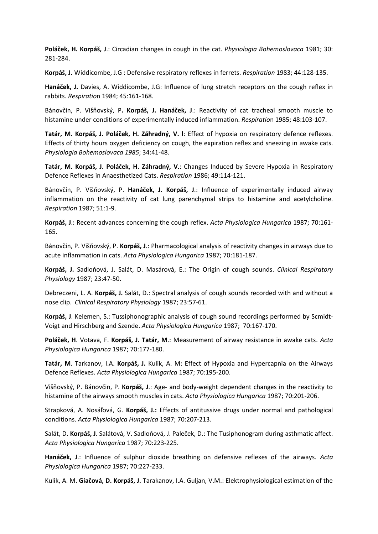**Poláček, H. Korpáš, J**.: Circadian changes in cough in the cat. *Physiologia Bohemoslovaca* 1981; 30: 281-284.

**Korpáš, J.** Widdicombe, J.G : Defensive respiratory reflexes in ferrets. *Respiration* 1983; 44:128-135.

**Hanáček, J.** Davies, A. Widdicombe, J.G: Influence of lung stretch receptors on the cough reflex in rabbits. *Respiratio*n 1984; 45:161-168.

Bánovčin, P. Višňovský, P**. Korpáš, J. Hanáček, J**.: Reactivity of cat tracheal smooth muscle to histamine under conditions of experimentally induced inflammation. *Respiratio*n 1985; 48:103-107.

**Tatár, M. Korpáš, J. Poláček, H. Záhradný, V. l**: Effect of hypoxia on respiratory defence reflexes. Effects of thirty hours oxygen deficiency on cough, the expiration reflex and sneezing in awake cats. *Physiologia Bohemoslovaca 1985*; 34:41-48.

**Tatár, M. Korpáš, J. Poláček, H. Záhradný, V.**: Changes Induced by Severe Hypoxia in Respiratory Defence Reflexes in Anaesthetized Cats. *Respiration* 1986; 49:114-121.

Bánovčin, P. Višňovský, P. **Hanáček, J. Korpáš, J**.: Influence of experimentally induced airway inflammation on the reactivity of cat lung parenchymal strips to histamine and acetylcholine. *Respiration* 1987; 51:1-9.

**Korpáš, J**.: Recent advances concerning the cough reflex. *Acta Physiologica Hungarica* 1987; 70:161- 165.

Bánovčin, P. Višňovský, P. **Korpáš, J**.: Pharmacological analysis of reactivity changes in airways due to acute inflammation in cats. *Acta Physiologica Hungarica* 1987; 70:181-187.

**Korpáš, J.** Sadloňová, J. Salát, D. Masárová, E.: The Origin of cough sounds. *Clinical Respiratory Physiology* 1987; 23:47-50.

Debreczeni, L. A. **Korpáš, J.** Salát, D.: Spectral analysis of cough sounds recorded with and without a nose clip. *Clinical Respiratory Physiology* 1987; 23:57-61.

**Korpáš, J**. Kelemen, S.: Tussiphonographic analysis of cough sound recordings performed by Scmidt-Voigt and Hirschberg and Szende. *Acta Physiologica Hungarica* 1987; 70:167-170.

**Poláček, H**. Votava, F. **Korpáš, J. Tatár, M**.: Measurement of airway resistance in awake cats. *Acta Physiologica Hungarica* 1987; 70:177-180.

**Tatár, M**. Tarkanov, I.A. **Korpáš, J.** Kulik, A. M: Effect of Hypoxia and Hypercapnia on the Airways Defence Reflexes. *Acta Physiologica Hungarica* 1987; 70:195-200.

Višňovský, P. Bánovčin, P. **Korpáš, J**.: Age- and body-weight dependent changes in the reactivity to histamine of the airways smooth muscles in cats. *Acta Physiologica Hungarica* 1987; 70:201-206.

Strapková, A. Nosáľová, G. **Korpáš, J.:** Effects of antitussive drugs under normal and pathological conditions. *Acta Physiologica Hungarica* 1987; 70:207-213.

Salát, D. **Korpáš, J**. Salátová, V. Sadloňová, J. Paleček, D.: The Tusiphonogram during asthmatic affect. *Acta Physiologica Hungarica* 1987; 70:223-225.

**Hanáček, J**.: Influence of sulphur dioxide breathing on defensive reflexes of the airways. *Acta Physiologica Hungarica* 1987; 70:227-233.

Kulik, A. M. **Giačová, D. Korpáš, J.** Tarakanov, I.A. Guljan, V.M.: Elektrophysiological estimation of the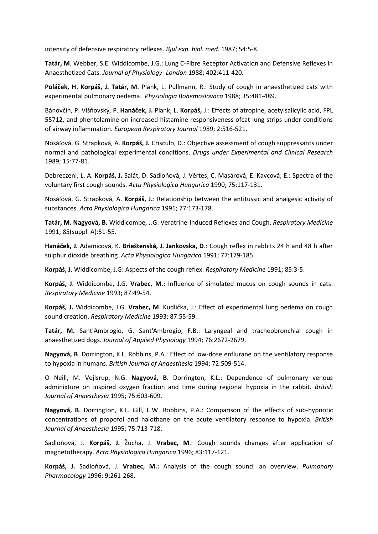intensity of defensive respiratory reflexes. *Bjul exp. biol. med.* 1987; 54:5-8.

**Tatár, M**. Webber, S.E. Widdicombe, J.G.: Lung C-Fibre Receptor Activation and Defensive Reflexes in Anaesthetized Cats. *Journal of Physiology- London* 1988; 402:411-420.

**Poláček, H. Korpáš, J. Tatár, M**. Plank, L. Pullmann, R.: Study of cough in anaesthetized cats with experimental pulmonary oedema. *Physiologia Bohemoslovaca* 1988; 35:481-489.

Bánovčin, P. Višňovský, P. **Hanáček, J.** Plank, L. **Korpáš,** J.: Effects of atropine, acetylsalicylic acid, FPL 55712, and phentolamine on increased histamine responsiveness ofcat lung strips under conditions of airway inflammation. *European Respiratory Journal* 1989; 2:516-521.

Nosáľová, G. Strapková, A. **Korpáš, J.** Crisculo, D.: Objective assessment of cough suppressants under normal and pathological experimental conditions. *Drugs under Experimental and Clinical Research* 1989; 15:77-81.

Debreczeni, L. A. **Korpáš, J.** Salát, D. Sadloňová, J. Vértes, C. Masárová, E. Kavcová, E.: Spectra of the voluntary first cough sounds. *Acta Physiologica Hungarica* 1990; 75:117-131.

Nosáľová, G. Strapková, A. **Korpáš, J.**: Relationship between the antitussic and analgesic activity of substances. *Acta Physiologica Hungarica* 1991; 77:173-178.

**Tatár, M. Nagyová, B.** Widdicombe, J.G: Veratrine-Induced Reflexes and Cough. *Respiratory Medicine* 1991; 85(suppl. A):51-55.

**Hanáček, J.** Adamicová, K. **Brieštenská, J. Jankovska, D**.: Cough reflex in rabbits 24 h and 48 h after sulphur dioxide breathing. *Acta Physiologica Hungarica* 1991; 77:179-185.

**Korpáš, J**. Widdicombe, J.G: Aspects of the cough reflex. *Respiratory Medicine* 1991; 85:3-5.

**Korpáš, J**. Widdicombe, J.G. **Vrabec, M.:** Influence of simulated mucus on cough sounds in cats. *Respiratory Medicine* 1993; 87:49-54.

**Korpáš, J.** Widdicombe, J.G. **Vrabec, M**. Kudlička, J.: Effect of experimental lung oedema on cough sound creation. *Respiratory Medicine* 1993; 87:55-59.

**Tatár, M.** Sant'Ambrogio, G. Sant'Ambrogio, F.B.: Laryngeal and tracheobronchial cough in anaesthetized dogs. *Journal of Applied Physiology* 1994; 76:2672-2679.

**Nagyová, B**. Dorrington, K.L. Robbins, P.A.: Effect of low-dose enflurane on the ventilatory response to hypoxia in humans. *British Journal of Anaesthesia* 1994; 72:509-514.

O Neill, M. Vejlsrup, N.G. **Nagyová, B**. Dorrington, K.L.: Dependence of pulmonary venous adminixture on inspired oxygen fraction and time during regional hypoxia in the rabbit. *British Journal of Anaesthesia* 1995; 75:603-609.

**Nagyová, B**. Dorrington, K.L. Gill, E.W. Robbins, P.A.: Comparison of the effects of sub-hypnotic concentrations of propofol and halothane on the acute ventilatory response to hypoxia. *British Journal of Anaesthesia* 1995; 75:713-718.

Sadloňová, J. **Korpáš, J.** Žucha, J. **Vrabec, M**.: Cough sounds changes after application of magnetotherapy. *Acta Physiologica Hungarica* 1996; 83:117-121.

**Korpáš, J.** Sadloňová, J. **Vrabec, M.:** Analysis of the cough sound: an overview. *Pulmonary Pharmacology* 1996; 9:261-268.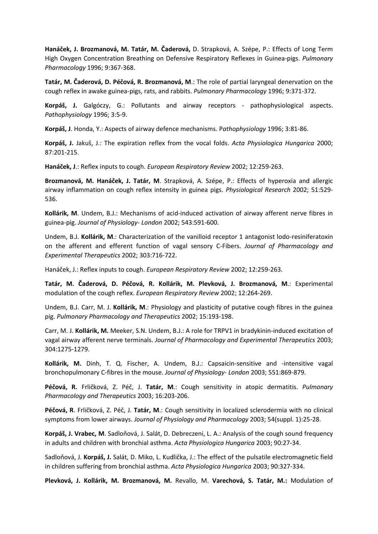**Hanáček, J. Brozmanová, M. Tatár, M. Čaderová,** D. Strapková, A. Szépe, P.: Effects of Long Term High Oxygen Concentration Breathing on Defensive Respiratory Reflexes in Guinea-pigs. *Pulmonary Pharmacology* 1996; 9:367-368.

**Tatár, M. Čaderová, D. Péčová, R. Brozmanová, M**.: The role of partial laryngeal denervation on the cough reflex in awake guinea-pigs, rats, and rabbits. *Pulmonary Pharmacology* 1996; 9:371-372.

**Korpáš, J.** Galgóczy, G.: Pollutants and airway receptors - pathophysiological aspects. *Pathophysiology* 1996; 3:5-9.

**Korpáš, J**. Honda, Y.: Aspects of airway defence mechanisms. P*athophysiology* 1996; 3:81-86.

**Korpáš, J.** Jakuš, J.: The expiration reflex from the vocal folds. *Acta Physiologica Hungarica* 2000; 87:201-215.

**Hanáček, J**.: Reflex inputs to cough. *European Respiratory Review* 2002; 12:259-263.

**Brozmanová, M. Hanáček, J. Tatár, M**. Strapková, A. Szépe, P.: Effects of hyperoxia and allergic airway inflammation on cough reflex intensity in guinea pigs. *Physiological Research* 2002; 51:529- 536.

**Kollárik, M**. Undem, B.J.: Mechanisms of acid-induced activation of airway afferent nerve fibres in guinea-pig. *Journal of Physiology- London* 2002; 543:591-600.

Undem, B.J. **Kollárik, M**.: Characterization of the vanilloid receptor 1 antagonist lodo-resiniferatoxin on the afferent and efferent function of vagal sensory C-Fibers. *Journal of Pharmacology and Experimental Therapeutics* 2002; 303:716-722.

Hanáček, J.: Reflex inputs to cough. *European Respiratory Review* 2002; 12:259-263.

**Tatár, M. Čaderová, D. Péčová, R. Kollárik, M. Plevková, J. Brozmanová, M**.: Experimental modulation of the cough reflex. *European Respiratory Review* 2002; 12:264-269.

Undem, B.J. Carr, M. J. **Kollárik, M**.: Physiology and plasticity of putative cough fibres in the guinea pig. *Pulmonary Pharmacology and Therapeutics* 2002; 15:193-198.

Carr, M. J. **Kollárik, M.** Meeker, S.N. Undem, B.J.: A role for TRPV1 in bradykinin-induced excitation of vagal airway afferent nerve terminals. *Journal of Pharmacology and Experimental Therapeutics* 2003; 304:1275-1279.

**Kollárik, M.** Dinh, T. Q. Fischer, A. Undem, B.J.: Capsaicin-sensitive and -intensitive vagal bronchopulmonary C-fibres in the mouse. *Journal of Physiology- London* 2003; 551:869-879.

**Péčová, R.** Frličková, Z. Péč, J. **Tatár, M**.: Cough sensitivity in atopic dermatitis. *Pulmonary Pharmacology and Therapeutics* 2003; 16:203-206.

**Péčová, R**. Frličková, Z. Péč, J. **Tatár, M**.: Cough sensitivity in localized sclerodermia with no clinical symptoms from lower airways. *Journal of Physiology and Pharmacology* 2003; 54(suppl. 1):25-28.

**Korpáš, J. Vrabec, M**. Sadloňová, J. Salát, D. Debreczeni, L. A.: Analysis of the cough sound frequency in adults and children with bronchial asthma. *Acta Physiologica Hungarica* 2003; 90:27-34.

Sadloňová, J. **Korpáš, J.** Salát, D. Miko, L. Kudlička, J.: The effect of the pulsatile electromagnetic field in children suffering from bronchial asthma. *Acta Physiologica Hungarica* 2003; 90:327-334.

**Plevková, J. Kollárik, M. Brozmanová, M.** Revallo, M. **Varechová, S. Tatár, M.:** Modulation of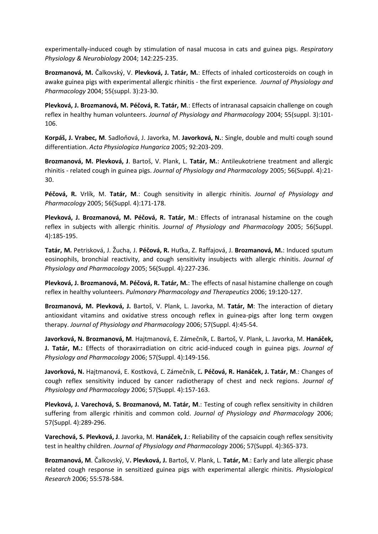experimentally-induced cough by stimulation of nasal mucosa in cats and guinea pigs. *Respiratory Physiology & Neurobiology* 2004; 142:225-235.

**Brozmanová, M.** Čalkovský, V. **Plevková, J. Tatár, M.**: Effects of inhaled corticosteroids on cough in awake guinea pigs with experimental allergic rhinitis - the first experience*. Journal of Physiology and Pharmacology* 2004; 55(suppl. 3):23-30.

**Plevková, J. Brozmanová, M. Péčová, R. Tatár, M**.: Effects of intranasal capsaicin challenge on cough reflex in healthy human volunteers. *Journal of Physiology and Pharmacology* 2004; 55(suppl. 3):101- 106.

**Korpáš, J. Vrabec, M**. Sadloňová, J. Javorka, M. **Javorková, N.**: Single, double and multi cough sound differentiation. *Acta Physiologica Hungarica* 2005; 92:203-209.

**Brozmanová, M. Plevková, J**. Bartoš, V. Plank, L. **Tatár, M.**: Antileukotriene treatment and allergic rhinitis - related cough in guinea pigs. *Journal of Physiology and Pharmacology* 2005; 56(Suppl. 4):21- 30.

**Péčová, R.** Vrlík, M. **Tatár, M**.: Cough sensitivity in allergic rhinitis. *Journal of Physiology and Pharmacology* 2005; 56(Suppl. 4):171-178.

**Plevková, J. Brozmanová, M. Péčová, R. Tatár, M**.: Effects of intranasal histamine on the cough reflex in subjects with allergic rhinitis. *Journal of Physiology and Pharmacology* 2005; 56(Suppl. 4):185-195.

**Tatár, M.** Petrisková, J. Žucha, J. **Péčová, R.** Huťka, Z. Raffajová, J. **Brozmanová, M.**: Induced sputum eosinophils, bronchial reactivity, and cough sensitivity insubjects with allergic rhinitis. *Journal of Physiology and Pharmacology* 2005; 56(Suppl. 4):227-236.

**Plevková, J. Brozmanová, M. Péčová, R. Tatár, M.**: The effects of nasal histamine challenge on cough reflex in healthy volunteers. *Pulmonary Pharmacology and Therapeutics* 2006; 19:120-127.

**Brozmanová, M. Plevková, J.** Bartoš, V. Plank, L. Javorka, M. **Tatár, M**: The interaction of dietary antioxidant vitamins and oxidative stress oncough reflex in guinea-pigs after long term oxygen therapy. *Journal of Physiology and Pharmacology* 2006; 57(Suppl. 4):45-54.

**Javorková, N. Brozmanová, M**. Hajtmanová, E. Zámečník, Ľ. Bartoš, V. Plank, L. Javorka, M. **Hanáček, J. Tatár, M.:** Effects of thoraxirradiation on citric acid-induced cough in guinea pigs. *Journal of Physiology and Pharmacology* 2006; 57(Suppl. 4):149-156.

**Javorková, N.** Hajtmanová, E. Kostková, Ľ. Zámečník, Ľ**. Péčová, R. Hanáček, J. Tatár, M**.: Changes of cough reflex sensitivity induced by cancer radiotherapy of chest and neck regions. *Journal of Physiology and Pharmacology* 2006; 57(Suppl. 4):157-163.

**Plevková, J. Varechová, S. Brozmanová, M. Tatár, M**.: Testing of cough reflex sensitivity in children suffering from allergic rhinitis and common cold. *Journal of Physiology and Pharmacology* 2006; 57(Suppl. 4):289-296.

**Varechová, S. Plevková, J**. Javorka, M. **Hanáček, J**.: Reliability of the capsaicin cough reflex sensitivity test in healthy children. *Journal of Physiology and Pharmacology* 2006; 57(Suppl. 4):365-373.

**Brozmanová, M**. Čalkovský, V**. Plevková, J.** Bartoš, V. Plank, L. **Tatár, M**.: Early and late allergic phase related cough response in sensitized guinea pigs with experimental allergic rhinitis. *Physiological Research* 2006; 55:578-584.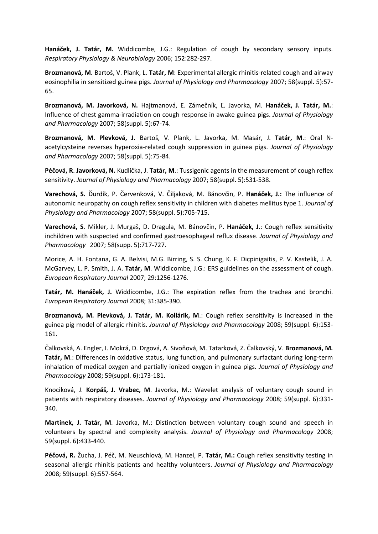**Hanáček, J. Tatár, M.** Widdicombe, J.G.: Regulation of cough by secondary sensory inputs. *Respiratory Physiology & Neurobiology* 2006; 152:282-297.

**Brozmanová, M.** Bartoš, V. Plank, L. **Tatár, M**: Experimental allergic rhinitis-related cough and airway eosinophilia in sensitized guinea pigs. *Journal of Physiology and Pharmacology* 2007; 58(suppl. 5):57- 65.

**Brozmanová, M. Javorková, N.** Hajtmanová, E. Zámečník, Ľ. Javorka, M. **Hanáček, J. Tatár, M.**: Influence of chest gamma-irradiation on cough response in awake guinea pigs. *Journal of Physiology and Pharmacology* 2007; 58(suppl. 5):67-74.

**Brozmanová, M. Plevková, J.** Bartoš, V. Plank, L. Javorka, M. Masár, J. **Tatár, M**.: Oral Nacetylcysteine reverses hyperoxia-related cough suppression in guinea pigs. *Journal of Physiology and Pharmacology* 2007; 58(suppl. 5):75-84.

**Péčová, R**. **Javorková, N.** Kudlička, J. **Tatár, M**.: Tussigenic agents in the measurement of cough reflex sensitivity. *Journal of Physiology and Pharmacology* 2007; 58(suppl. 5):531-538.

**Varechová, S.** Ďurdík, P. Červenková, V. Čiljaková, M. Bánovčin, P. **Hanáček, J.:** The influence of autonomic neuropathy on cough reflex sensitivity in children with diabetes mellitus type 1. *Journal of Physiology and Pharmacology* 2007; 58(suppl. 5):705-715.

**Varechová, S**. Mikler, J. Murgaš, D. Dragula, M. Bánovčin, P. **Hanáček, J**.: Cough reflex sensitivity inchildren with suspected and confirmed gastroesophageal reflux disease. *Journal of Physiology and Pharmacology* 2007; 58(supp. 5):717-727.

Morice, A. H. Fontana, G. A. Belvisi, M.G. Birring, S. S. Chung, K. F. Dicpinigaitis, P. V. Kastelik, J. A. McGarvey, L. P. Smith, J. A. **Tatár, M**. Widdicombe, J.G.: ERS guidelines on the assessment of cough. *European Respiratory Journal* 2007; 29:1256-1276.

**Tatár, M. Hanáček, J.** Widdicombe, J.G.: The expiration reflex from the trachea and bronchi. *European Respiratory Journal* 2008; 31:385-390.

**Brozmanová, M. Plevková, J. Tatár, M. Kollárik, M**.: Cough reflex sensitivity is increased in the guinea pig model of allergic rhinitis. *Journal of Physiology and Pharmacology* 2008; 59(suppl. 6):153- 161.

Čalkovská, A. Engler, I. Mokrá, D. Drgová, A. Sivoňová, M. Tatarková, Z. Čalkovský, V. **Brozmanová, M. Tatár, M**.: Differences in oxidative status, lung function, and pulmonary surfactant during long-term inhalation of medical oxygen and partially ionized oxygen in guinea pigs. *Journal of Physiology and Pharmacology* 2008; 59(suppl. 6):173-181.

Knociková, J. **Korpáš, J. Vrabec, M**. Javorka, M.: Wavelet analysis of voluntary cough sound in patients with respiratory diseases. *Journal of Physiology and Pharmacology* 2008; 59(suppl. 6):331- 340.

**Martinek, J. Tatár, M**. Javorka, M.: Distinction between voluntary cough sound and speech in volunteers by spectral and complexity analysis. *Journal of Physiology and Pharmacology* 2008; 59(suppl. 6):433-440.

**Péčová, R.** Žucha, J. Péč, M. Neuschlová, M. Hanzel, P. **Tatár, M.:** Cough reflex sensitivity testing in seasonal allergic rhinitis patients and healthy volunteers. *Journal of Physiology and Pharmacology* 2008; 59(suppl. 6):557-564.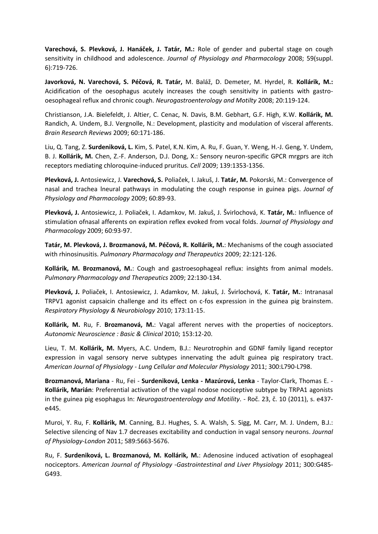**Varechová, S. Plevková, J. Hanáček, J. Tatár, M.:** Role of gender and pubertal stage on cough sensitivity in childhood and adolescence. *Journal of Physiology and Pharmacology* 2008; 59(suppl. 6):719-726.

**Javorková, N. Varechová, S. Péčová, R. Tatár,** M. Baláž, D. Demeter, M. Hyrdel, R. **Kollárik, M.:** Acidification of the oesophagus acutely increases the cough sensitivity in patients with gastrooesophageal reflux and chronic cough. *Neurogastroenterology and Motilty* 2008; 20:119-124.

Christianson, J.A. Bielefeldt, J. Altier, C. Cenac, N. Davis, B.M. Gebhart, G.F. High, K.W. **Kollárik, M.** Randich, A. Undem, B.J. Vergnolle, N.: Development, plasticity and modulation of visceral afferents. *Brain Research Reviews* 2009; 60:171-186.

Liu, Q. Tang, Z. **Surdeniková, L.** Kim, S. Patel, K.N. Kim, A. Ru, F. Guan, Y. Weng, H.-J. Geng, Y. Undem, B. J. **Kollárik, M.** Chen, Z.-F. Anderson, D.J. Dong, X.: Sensory neuron-specific GPCR mrgprs are itch receptors mediating chloroquine-induced pruritus. *Cell* 2009; 139:1353-1356.

**Plevková, J.** Antosiewicz, J. **Varechová, S.** Poliaček, I. Jakuš, J. **Tatár, M.** Pokorski, M.: Convergence of nasal and trachea lneural pathways in modulating the cough response in guinea pigs. *Journal of Physiology and Pharmacology* 2009; 60:89-93.

**Plevková, J.** Antosiewicz, J. Poliaček, I. Adamkov, M. Jakuš, J. Švirlochová, K. **Tatár, M.**: Influence of stimulation ofnasal afferents on expiration reflex evoked from vocal folds. *Journal of Physiology and Pharmacology* 2009; 60:93-97.

**Tatár, M. Plevková, J. Brozmanová, M. Péčová, R. Kollárik, M.**: Mechanisms of the cough associated with rhinosinusitis. *Pulmonary Pharmacology and Therapeutics* 2009; 22:121-126.

**Kollárik, M. Brozmanová, M.**: Cough and gastroesophageal reflux: insights from animal models. *Pulmonary Pharmacology and Therapeutics* 2009; 22:130-134.

**Plevková, J.** Poliaček, I. Antosiewicz, J. Adamkov, M. Jakuš, J. Švirlochová, K. **Tatár, M.**: Intranasal TRPV1 agonist capsaicin challenge and its effect on c-fos expression in the guinea pig brainstem. *Respiratory Physiology & Neurobiology* 2010; 173:11-15.

**Kollárik, M.** Ru, F. **Brozmanová, M.**: Vagal afferent nerves with the properties of nociceptors. *Autonomic Neuroscience : Basic & Clinical* 2010; 153:12-20.

Lieu, T. M. **Kollárik, M.** Myers, A.C. Undem, B.J.: Neurotrophin and GDNF family ligand receptor expression in vagal sensory nerve subtypes innervating the adult guinea pig respiratory tract. *American Journal of Physiology* - *Lung Cellular and Molecular Physiology* 2011; 300:L790-L798.

**Brozmanová, Mariana** - Ru, Fei - **Surdeniková, Lenka - Mazúrová, Lenka** - Taylor-Clark, Thomas E. - **Kollárik, Marián**: Preferential activation of the vagal nodose nociceptive subtype by TRPA1 agonists in the guinea pig esophagus In: *Neurogastroenterology and Motility*. - Roč. 23, č. 10 (2011), s. e437 e445.

Muroi, Y. Ru, F. **Kollárik, M**. Canning, B.J. Hughes, S. A. Walsh, S. Sigg, M. Carr, M. J. Undem, B.J.: Selective silencing of Nav 1.7 decreases excitability and conduction in vagal sensory neurons. *Journal of Physiology-London* 2011; 589:5663-5676.

Ru, F. **Surdeniková, L. Brozmanová, M. Kollárik, M.**: Adenosine induced activation of esophageal nociceptors. *American Journal of Physiology -Gastrointestinal and Liver Physiology* 2011; 300:G485- G493.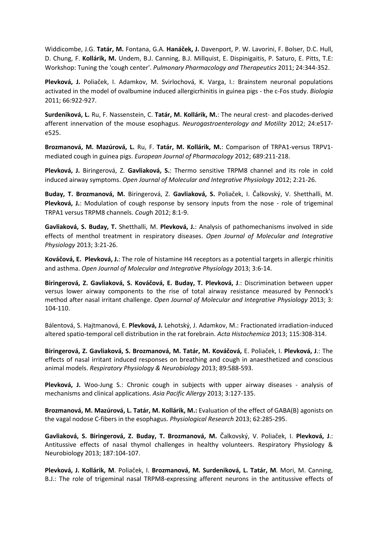Widdicombe, J.G. **Tatár, M.** Fontana, G.A. **Hanáček, J.** Davenport, P. W. Lavorini, F. Bolser, D.C. Hull, D. Chung, F. **Kollárik, M.** Undem, B.J. Canning, B.J. Millquist, E. Dispinigaitis, P. Saturo, E. Pitts, T.E: Workshop: Tuning the 'cough center'. *Pulmonary Pharmacology and Therapeutics* 2011; 24:344-352.

**Plevková, J.** Poliaček, I. Adamkov, M. Svirlochová, K. Varga, I.: Brainstem neuronal populations activated in the model of ovalbumine induced allergicrhinitis in guinea pigs - the c-Fos study. *Biologia* 2011; 66:922-927.

**Surdeniková, L.** Ru, F. Nassenstein, C. **Tatár, M. Kollárik, M.**: The neural crest- and placodes-derived afferent innervation of the mouse esophagus. *Neurogastroenterology and Motility* 2012; 24:e517 e525.

**Brozmanová, M. Mazúrová, L.** Ru, F. **Tatár, M. Kollárik, M.**: Comparison of TRPA1-versus TRPV1 mediated cough in guinea pigs. *European Journal of Pharmacology* 2012; 689:211-218.

**Plevková, J.** Biringerová, Z. **Gavliaková, S.**: Thermo sensitive TRPM8 channel and its role in cold induced airway symptoms. *Open Journal of Molecular and Integrative Physiology* 2012; 2:21-26.

**Buday, T. Brozmanová, M.** Biringerová, Z. **Gavliaková, S.** Poliaček, I. Čalkovský, V. Shetthalli, M. **Plevková, J.**: Modulation of cough response by sensory inputs from the nose - role of trigeminal TRPA1 versus TRPM8 channels. *Coug*h 2012; 8:1-9.

**Gavliaková, S. Buday, T.** Shetthalli, M. **Plevková, J.**: Analysis of pathomechanisms involved in side effects of menthol treatment in respiratory diseases. *Open Journal of Molecular and Integrative Physiology* 2013; 3:21-26.

**Kováčová, E. Plevková, J.**: The role of histamine H4 receptors as a potential targets in allergic rhinitis and asthma. *Open Journal of Molecular and Integrative Physiology* 2013; 3:6-14.

**Biringerová, Z. Gavliaková, S. Kováčová, E. Buday, T. Plevková, J**.: Discrimination between upper versus lower airway components to the rise of total airway resistance measured by Pennock's method after nasal irritant challenge. *Open Journal of Molecular and Integrative Physiology* 2013; 3: 104-110.

Bálentová, S. Hajtmanová, E. **Plevková, J.** Lehotský, J. Adamkov, M.: Fractionated irradiation-induced altered spatio-temporal cell distribution in the rat forebrain. *Acta Histochemica* 2013; 115:308-314.

**Biringerová, Z. Gavliaková, S. Brozmanová, M. Tatár, M. Kováčová,** E. Poliaček, I. **Plevková, J**.: The effects of nasal irritant induced responses on breathing and cough in anaesthetized and conscious animal models. *Respiratory Physiology & Neurobiology* 2013; 89:588-593.

**Plevková, J.** Woo-Jung S.: Chronic cough in subjects with upper airway diseases - analysis of mechanisms and clinical applications. *Asia Pacific Allergy* 2013; 3:127-135.

**Brozmanová, M. Mazúrová, L. Tatár, M. Kollárik, M.:** Evaluation of the effect of GABA(B) agonists on the vagal nodose C-fibers in the esophagus. *Physiological Research* 2013; 62:285-295.

**Gavliaková, S. Biringerová, Z. Buday, T. Brozmanová, M.** Čalkovský, V. Poliaček, I. **Plevková, J**.: Antitussive effects of nasal thymol challenges in healthy volunteers. Respiratory Physiology & Neurobiology 2013; 187:104-107.

**Plevková, J. Kollárik, M**. Poliaček, I. **Brozmanová, M. Surdeniková, L. Tatár, M**. Mori, M. Canning, B.J.: The role of trigeminal nasal TRPM8-expressing afferent neurons in the antitussive effects of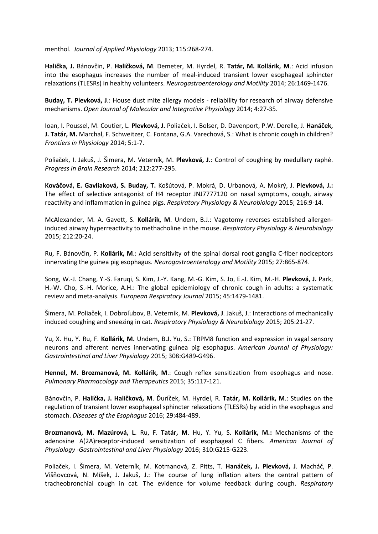menthol. *Journal of Applied Physiology* 2013; 115:268-274.

**Halička, J.** Bánovčin, P. **Haličková, M**. Demeter, M. Hyrdel, R. **Tatár, M. Kollárik, M**.: Acid infusion into the esophagus increases the number of meal-induced transient lower esophageal sphincter relaxations (TLESRs) in healthy volunteers. *Neurogastroenterology and Motility* 2014; 26:1469-1476.

**Buday, T. Plevková, J**.: House dust mite allergy models - reliability for research of airway defensive mechanisms. *Open Journal of Molecular and Integrative Physiology* 2014; 4:27-35.

Ioan, I. Poussel, M. Coutier, L. **Plevková, J.** Poliaček, I. Bolser, D. Davenport, P.W. Derelle, J. **Hanáček, J. Tatár, M.** Marchal, F. Schweitzer, C. Fontana, G.A. Varechová, S.: What is chronic cough in children? *Frontiers in Physiology* 2014; 5:1-7.

Poliaček, I. Jakuš, J. Šimera, M. Veterník, M. **Plevková, J**.: Control of coughing by medullary raphé. *Progress in Brain Research* 2014; 212:277-295.

**Kováčová, E. Gavliaková, S. Buday, T.** Košútová, P. Mokrá, D. Urbanová, A. Mokrý, J. **Plevková, J.:** The effect of selective antagonist of H4 receptor JNJ7777120 on nasal symptoms, cough, airway reactivity and inflammation in guinea pigs. *Respiratory Physiology & Neurobiology* 2015; 216:9-14.

McAlexander, M. A. Gavett, S. **Kollárik, M**. Undem, B.J.: Vagotomy reverses established allergeninduced airway hyperreactivity to methacholine in the mouse. *Respiratory Physiology & Neurobiology* 2015; 212:20-24.

Ru, F. Bánovčin, P. **Kollárik, M**.: Acid sensitivity of the spinal dorsal root ganglia C-fiber nociceptors innervating the guinea pig esophagus. *Neurogastroenterology and Motility* 2015; 27:865-874.

Song, W.-J. Chang, Y.-S. Faruqi, S. Kim, J.-Y. Kang, M.-G. Kim, S. Jo, E.-J. Kim, M.-H. **Plevková, J.** Park, H.-W. Cho, S.-H. Morice, A.H.: The global epidemiology of chronic cough in adults: a systematic review and meta-analysis. *European Respiratory Journal* 2015; 45:1479-1481.

Šimera, M. Poliaček, I. Dobroľubov, B. Veterník, M. **Plevková, J**. Jakuš, J.: Interactions of mechanically induced coughing and sneezing in cat. *Respiratory Physiology & Neurobiology* 2015; 205:21-27.

Yu, X. Hu, Y. Ru, F. **Kollárik, M.** Undem, B.J. Yu, S.: TRPM8 function and expression in vagal sensory neurons and afferent nerves innervating guinea pig esophagus. *American Journal of Physiology: Gastrointestinal and Liver Physiology* 2015; 308:G489-G496.

**Hennel, M. Brozmanová, M. Kollárik, M**.: Cough reflex sensitization from esophagus and nose. *Pulmonary Pharmacology and Therapeutics* 2015; 35:117-121.

Bánovčin, P. **Halička, J. Haličková, M**. Ďuríček, M. Hyrdel, R. **Tatár, M. Kollárik, M**.: Studies on the regulation of transient lower esophageal sphincter relaxations (TLESRs) by acid in the esophagus and stomach. *Diseases of the Esophagus* 2016; 29:484-489.

**Brozmanová, M. Mazúrová, L**. Ru, F. **Tatár, M**. Hu, Y. Yu, S. **Kollárik, M.:** Mechanisms of the adenosine A(2A)receptor-induced sensitization of esophageal C fibers. *American Journal of Physiology -Gastrointestinal and Liver Physiology* 2016; 310:G215-G223.

Poliaček, I. Šimera, M. Veterník, M. Kotmanová, Z. Pitts, T. **Hanáček, J. Plevková, J**. Macháč, P. Višňovcová, N. Míšek, J. Jakuš, J.: The course of lung inflation alters the central pattern of tracheobronchial cough in cat. The evidence for volume feedback during cough. *Respiratory*